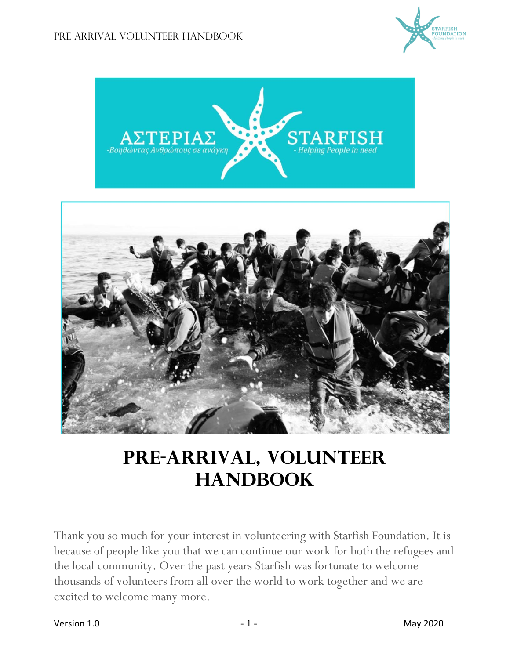



## **Pre-arrival, volunteer HANDBOOK**

Thank you so much for your interest in volunteering with Starfish Foundation. It is because of people like you that we can continue our work for both the refugees and the local community. Over the past years Starfish was fortunate to welcome thousands of volunteers from all over the world to work together and we are excited to welcome many more.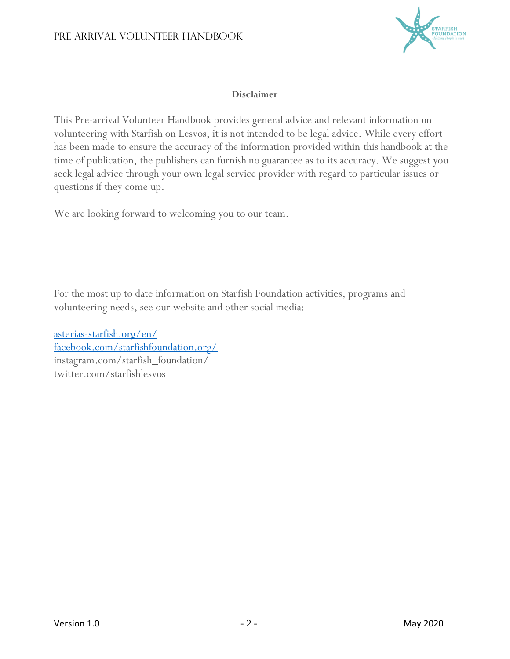

#### **Disclaimer**

This Pre-arrival Volunteer Handbook provides general advice and relevant information on volunteering with Starfish on Lesvos, it is not intended to be legal advice. While every effort has been made to ensure the accuracy of the information provided within this handbook at the time of publication, the publishers can furnish no guarantee as to its accuracy. We suggest you seek legal advice through your own legal service provider with regard to particular issues or questions if they come up.

We are looking forward to welcoming you to our team.

For the most up to date information on Starfish Foundation activities, programs and volunteering needs, see our website and other social media:

[asterias-starfish.org/en/](http://www.asterias-starfish.org/en/) [facebook.com/starfishfoundation.org/](https://www.facebook.com/starfishfoundation.org/) instagram.com/starfish\_foundation/ twitter.com/starfishlesvos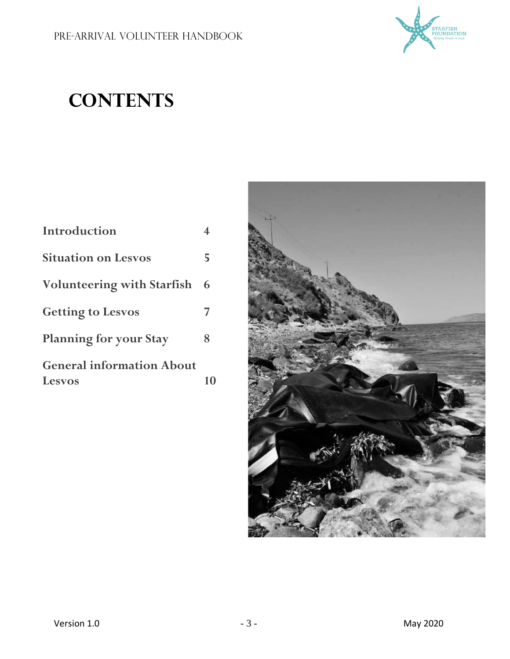

# **CONTENTS**

| <b>Introduction</b>                               | 4  |
|---------------------------------------------------|----|
| <b>Situation on Lesvos</b>                        | 5  |
| <b>Volunteering with Starfish</b>                 | 6  |
| <b>Getting to Lesvos</b>                          | 7  |
| <b>Planning for your Stay</b>                     | 8  |
| <b>General information About</b><br><b>Lesvos</b> | 10 |

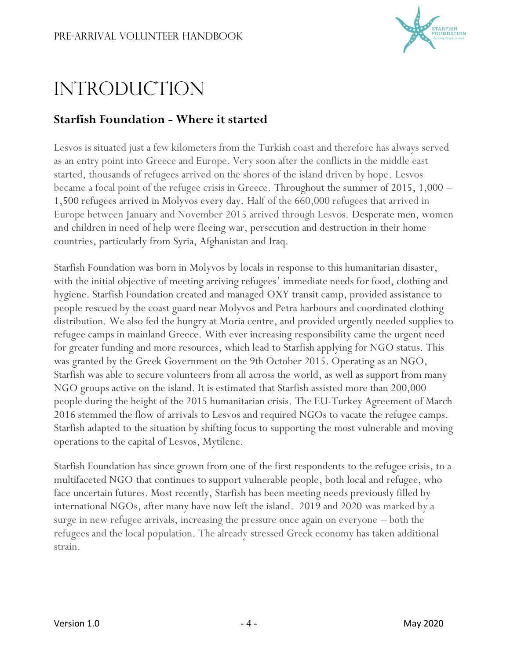

# **INTRODUCTION**

### **Starfish Foundation - Where it started**

Lesvos is situated just a few kilometers from the Turkish coast and therefore has always served as an entry point into Greece and Europe. Very soon after the conflicts in the middle east started, thousands of refugees arrived on the shores of the island driven by hope. Lesvos became a focal point of the refugee crisis in Greece. Throughout the summer of 2015, 1,000 – 1,500 refugees arrived in Molyvos every day. Half of the 660,000 refugees that arrived in Europe between January and November 2015 arrived through Lesvos. Desperate men, women and children in need of help were fleeing war, persecution and destruction in their home countries, particularly from Syria, Afghanistan and Iraq.

Starfish Foundation was born in Molyvos by locals in response to this humanitarian disaster, with the initial objective of meeting arriving refugees' immediate needs for food, clothing and hygiene. Starfish Foundation created and managed OXY transit camp, provided assistance to people rescued by the coast guard near Molyvos and Petra harbours and coordinated clothing distribution. We also fed the hungry at Moria centre, and provided urgently needed supplies to refugee camps in mainland Greece. With ever increasing responsibility came the urgent need for greater funding and more resources, which lead to Starfish applying for NGO status. This was granted by the Greek Government on the 9th October 2015. Operating as an NGO, Starfish was able to secure volunteers from all across the world, as well as support from many NGO groups active on the island. It is estimated that Starfish assisted more than 200,000 people during the height of the 2015 humanitarian crisis. The EU-Turkey Agreement of March 2016 stemmed the flow of arrivals to Lesvos and required NGOs to vacate the refugee camps. Starfish adapted to the situation by shifting focus to supporting the most vulnerable and moving operations to the capital of Lesvos, Mytilene.

Starfish Foundation has since grown from one of the first respondents to the refugee crisis, to a multifaceted NGO that continues to support vulnerable people, both local and refugee, who face uncertain futures. Most recently, Starfish has been meeting needs previously filled by international NGOs, after many have now left the island. 2019 and 2020 was marked by a surge in new refugee arrivals, increasing the pressure once again on everyone – both the refugees and the local population. The already stressed Greek economy has taken additional strain.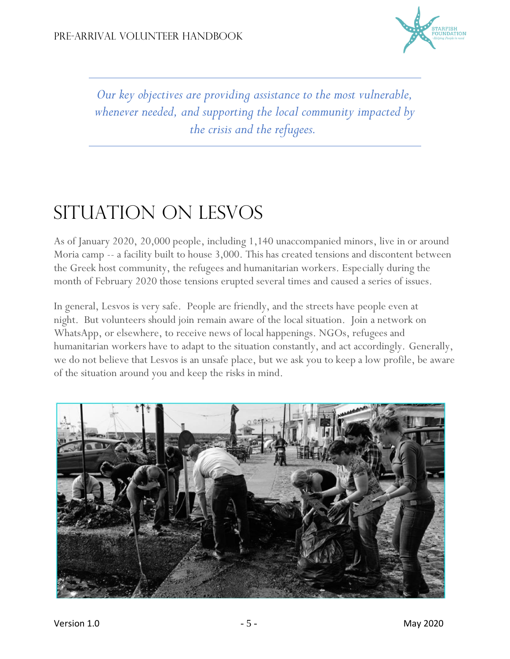

*Our key objectives are providing assistance to the most vulnerable, whenever needed, and supporting the local community impacted by the crisis and the refugees.*

# SITUATION ON LESVOS

As of January 2020, 20,000 people, including 1,140 unaccompanied minors, live in or around Moria camp -- a facility built to house 3,000. This has created tensions and discontent between the Greek host community, the refugees and humanitarian workers. Especially during the month of February 2020 those tensions erupted several times and caused a series of issues.

In general, Lesvos is very safe. People are friendly, and the streets have people even at night. But volunteers should join remain aware of the local situation. Join a network on WhatsApp, or elsewhere, to receive news of local happenings. NGOs, refugees and humanitarian workers have to adapt to the situation constantly, and act accordingly. Generally, we do not believe that Lesvos is an unsafe place, but we ask you to keep a low profile, be aware of the situation around you and keep the risks in mind.

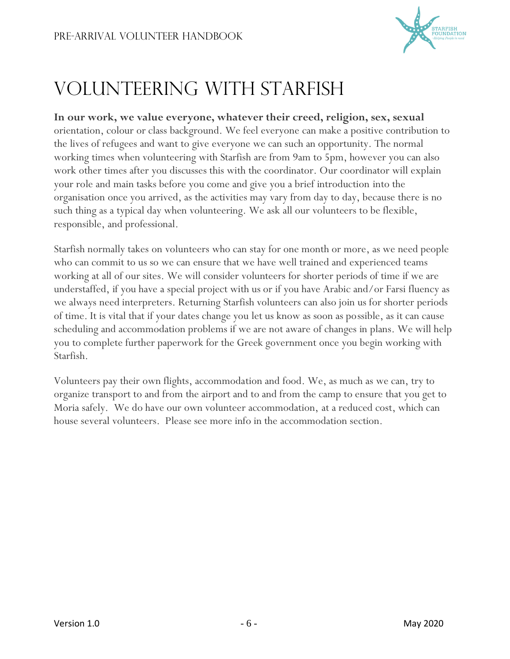

## Volunteering With Starfish

**In our work, we value everyone, whatever their creed, religion, sex, sexual**  orientation, colour or class background. We feel everyone can make a positive contribution to the lives of refugees and want to give everyone we can such an opportunity. The normal working times when volunteering with Starfish are from 9am to 5pm, however you can also work other times after you discusses this with the coordinator. Our coordinator will explain your role and main tasks before you come and give you a brief introduction into the organisation once you arrived, as the activities may vary from day to day, because there is no such thing as a typical day when volunteering. We ask all our volunteers to be flexible, responsible, and professional.

Starfish normally takes on volunteers who can stay for one month or more, as we need people who can commit to us so we can ensure that we have well trained and experienced teams working at all of our sites. We will consider volunteers for shorter periods of time if we are understaffed, if you have a special project with us or if you have Arabic and/or Farsi fluency as we always need interpreters. Returning Starfish volunteers can also join us for shorter periods of time. It is vital that if your dates change you let us know as soon as possible, as it can cause scheduling and accommodation problems if we are not aware of changes in plans. We will help you to complete further paperwork for the Greek government once you begin working with Starfish.

Volunteers pay their own flights, accommodation and food. We, as much as we can, try to organize transport to and from the airport and to and from the camp to ensure that you get to Moria safely. We do have our own volunteer accommodation, at a reduced cost, which can house several volunteers. Please see more info in the accommodation section.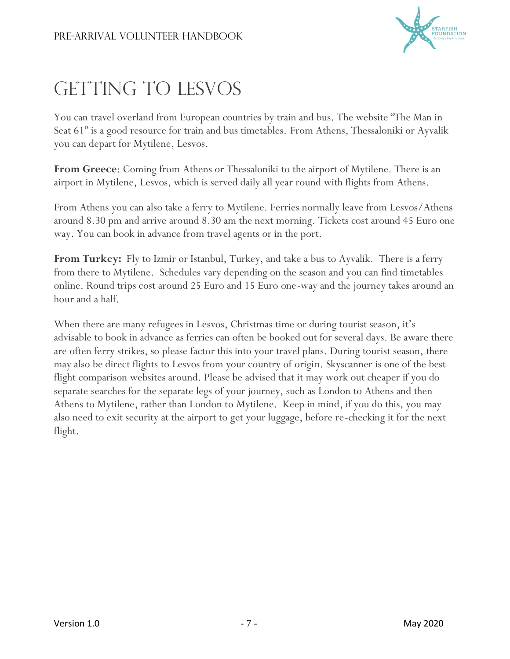

## GETTING TO LESVOS

You can travel overland from European countries by train and bus. The website "The Man in Seat 61" is a good resource for train and bus timetables. From Athens, Thessaloniki or Ayvalik you can depart for Mytilene, Lesvos.

**From Greece**: Coming from Athens or Thessaloniki to the airport of Mytilene. There is an airport in Mytilene, Lesvos, which is served daily all year round with flights from Athens.

From Athens you can also take a ferry to Mytilene. Ferries normally leave from Lesvos/Athens around 8.30 pm and arrive around 8.30 am the next morning. Tickets cost around 45 Euro one way. You can book in advance from travel agents or in the port.

**From Turkey:** Fly to Izmir or Istanbul, Turkey, and take a bus to Ayvalik. There is a ferry from there to Mytilene. Schedules vary depending on the season and you can find timetables online. Round trips cost around 25 Euro and 15 Euro one-way and the journey takes around an hour and a half.

When there are many refugees in Lesvos, Christmas time or during tourist season, it's advisable to book in advance as ferries can often be booked out for several days. Be aware there are often ferry strikes, so please factor this into your travel plans. During tourist season, there may also be direct flights to Lesvos from your country of origin. Skyscanner is one of the best flight comparison websites around. Please be advised that it may work out cheaper if you do separate searches for the separate legs of your journey, such as London to Athens and then Athens to Mytilene, rather than London to Mytilene. Keep in mind, if you do this, you may also need to exit security at the airport to get your luggage, before re-checking it for the next flight.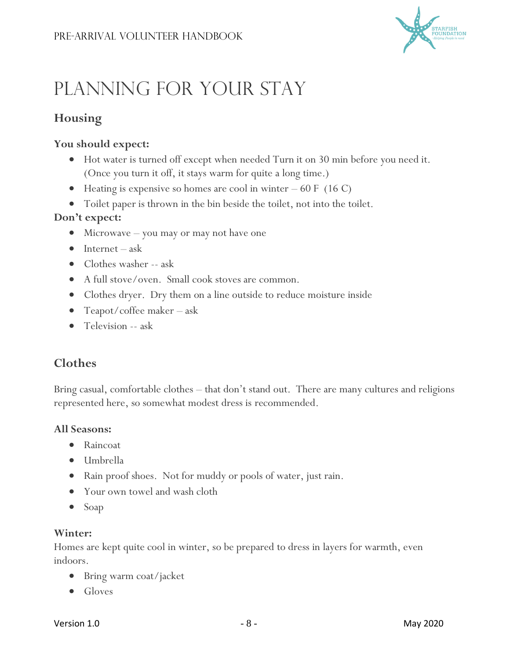

# Planning for your Stay

### **Housing**

### **You should expect:**

- Hot water is turned off except when needed Turn it on 30 min before you need it. (Once you turn it off, it stays warm for quite a long time.)
- Heating is expensive so homes are cool in winter  $-60 \text{ F}$  (16 C)
- Toilet paper is thrown in the bin beside the toilet, not into the toilet.

### **Don't expect:**

- Microwave you may or may not have one
- $\bullet$  Internet ask
- Clothes washer -- ask
- A full stove/oven. Small cook stoves are common.
- Clothes dryer. Dry them on a line outside to reduce moisture inside
- Teapot/coffee maker ask
- Television -- ask

### **Clothes**

Bring casual, comfortable clothes – that don't stand out. There are many cultures and religions represented here, so somewhat modest dress is recommended.

#### **All Seasons:**

- Raincoat
- Umbrella
- Rain proof shoes. Not for muddy or pools of water, just rain.
- Your own towel and wash cloth
- Soap

#### **Winter:**

Homes are kept quite cool in winter, so be prepared to dress in layers for warmth, even indoors.

- Bring warm coat/jacket
- Gloves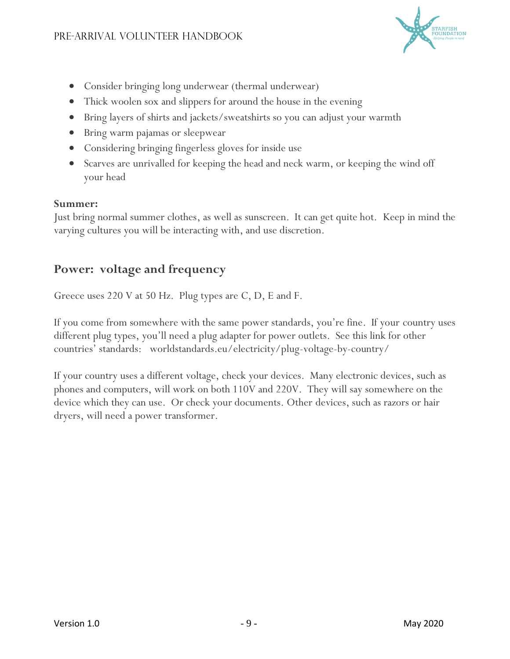

- Consider bringing long underwear (thermal underwear)
- Thick woolen sox and slippers for around the house in the evening
- Bring layers of shirts and jackets/sweatshirts so you can adjust your warmth
- Bring warm pajamas or sleepwear
- Considering bringing fingerless gloves for inside use
- Scarves are unrivalled for keeping the head and neck warm, or keeping the wind off your head

#### **Summer:**

Just bring normal summer clothes, as well as sunscreen. It can get quite hot. Keep in mind the varying cultures you will be interacting with, and use discretion.

### **Power: voltage and frequency**

Greece uses 220 V at 50 Hz. Plug types are C, D, E and F.

If you come from somewhere with the same power standards, you're fine. If your country uses different plug types, you'll need a plug adapter for power outlets. See this link for other countries' standards: [worldstandards.eu/electricity/plug-voltage-by-country/](https://www.worldstandards.eu/electricity/plug-voltage-by-country/)

If your country uses a different voltage, check your devices. Many electronic devices, such as phones and computers, will work on both 110V and 220V. They will say somewhere on the device which they can use. Or check your documents. Other devices, such as razors or hair dryers, will need a power transformer.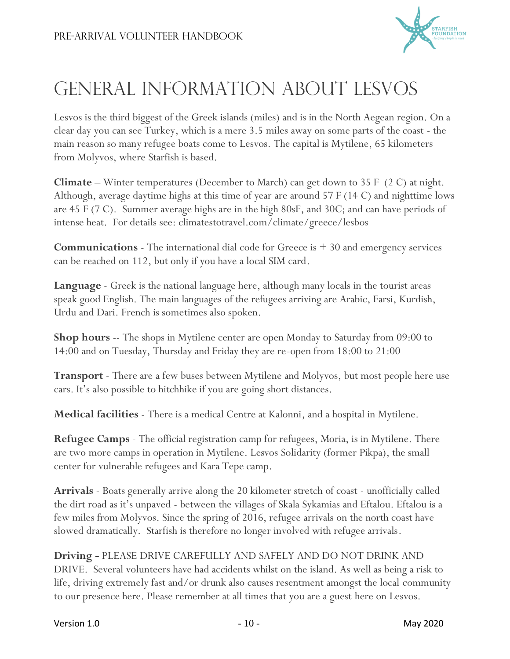

## General Information about Lesvos

Lesvos is the third biggest of the Greek islands (miles) and is in the North Aegean region. On a clear day you can see Turkey, which is a mere 3.5 miles away on some parts of the coast - the main reason so many refugee boats come to Lesvos. The capital is Mytilene, 65 kilometers from Molyvos, where Starfish is based.

**Climate** – Winter temperatures (December to March) can get down to 35 F (2 C) at night. Although, average daytime highs at this time of year are around 57 F (14 C) and nighttime lows are 45 F (7 C). Summer average highs are in the high 80sF, and 30C; and can have periods of intense heat. For details see: climatestotravel.com/climate/greece/lesbos

**Communications** - The international dial code for Greece is + 30 and emergency services can be reached on 112, but only if you have a local SIM card.

**Language** - Greek is the national language here, although many locals in the tourist areas speak good English. The main languages of the refugees arriving are Arabic, Farsi, Kurdish, Urdu and Dari. French is sometimes also spoken.

**Shop hours** -- The shops in Mytilene center are open Monday to Saturday from 09:00 to 14:00 and on Tuesday, Thursday and Friday they are re-open from 18:00 to 21:00

**Transport** - There are a few buses between Mytilene and Molyvos, but most people here use cars. It's also possible to hitchhike if you are going short distances.

**Medical facilities** - There is a medical Centre at Kalonni, and a hospital in Mytilene.

**Refugee Camps** - The official registration camp for refugees, Moria, is in Mytilene. There are two more camps in operation in Mytilene. Lesvos Solidarity (former Pikpa), the small center for vulnerable refugees and Kara Tepe camp.

**Arrivals** - Boats generally arrive along the 20 kilometer stretch of coast - unofficially called the dirt road as it's unpaved - between the villages of Skala Sykamias and Eftalou. Eftalou is a few miles from Molyvos. Since the spring of 2016, refugee arrivals on the north coast have slowed dramatically. Starfish is therefore no longer involved with refugee arrivals.

**Driving -** PLEASE DRIVE CAREFULLY AND SAFELY AND DO NOT DRINK AND DRIVE. Several volunteers have had accidents whilst on the island. As well as being a risk to life, driving extremely fast and/or drunk also causes resentment amongst the local community to our presence here. Please remember at all times that you are a guest here on Lesvos.